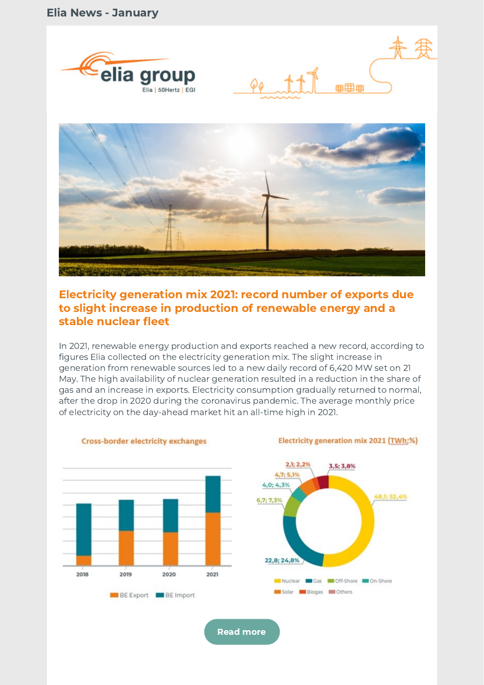





# Electricity generation mix 2021: record number of exports due to slight increase in production of renewable energy and a stable nuclear fleet

In 2021, renewable energy production and exports reached a new record, according to figures Elia collected on the electricity generation mix. The slight increase in generation from renewable sources led to a new daily record of 6,420 MW set on 21 May. The high availability of nuclear generation resulted in a reduction in the share of gas and an increase in exports. Electricity consumption gradually returned to normal, after the drop in 2020 during the coronavirus pandemic. The average monthly price of electricity on the day-ahead market hit an all-time high in 2021.

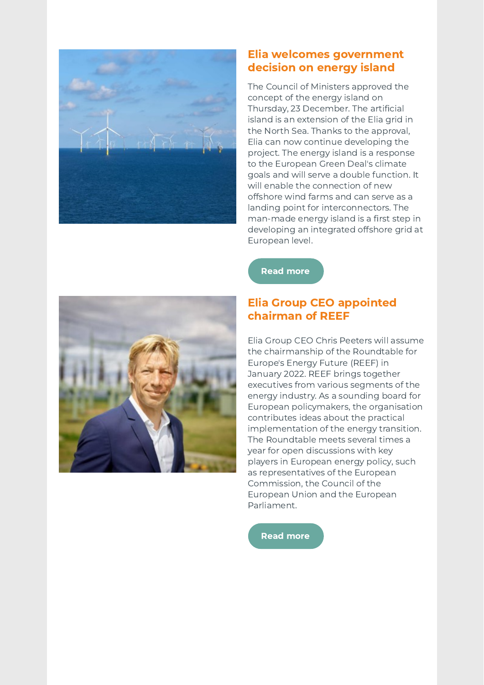

# Elia welcomes government decision on energy island

The Council of Ministers approved the concept of the energy island on Thursday, 23 December. The artificial island is an extension of the Elia grid in the North Sea. Thanks to the approval, Elia can now continue developing the project. The energy island is a response to the European Green Deal's climate goals and will serve a double function. It will enable the connection of new offshore wind farms and can serve as a landing point for interconnectors. The man-made energy island is a first step in developing an integrated offshore grid at European level.

Read [more](https://www.elia.be/en/news/press-releases/2022/01/20220105_federal-government-gives-green-light-to-the-energy-island)

# Elia Group CEO appointed chairman of REEF

Elia Group CEO Chris Peeters will assume the chairmanship of the Roundtable for Europe's Energy Future (REEF) in January 2022. REEF brings together executives from various segments of the energy industry. As a sounding board for European policymakers, the organisation contributes ideas about the practical implementation of the energy transition. The Roundtable meets several times a year for open discussions with key players in European energy policy, such as representatives of the European Commission, the Council of the European Union and the European Parliament.

Read [more](https://www.elia.be/en/news/press-releases/2021/12/20211221_press-release-chris-peeters-chair-reef)

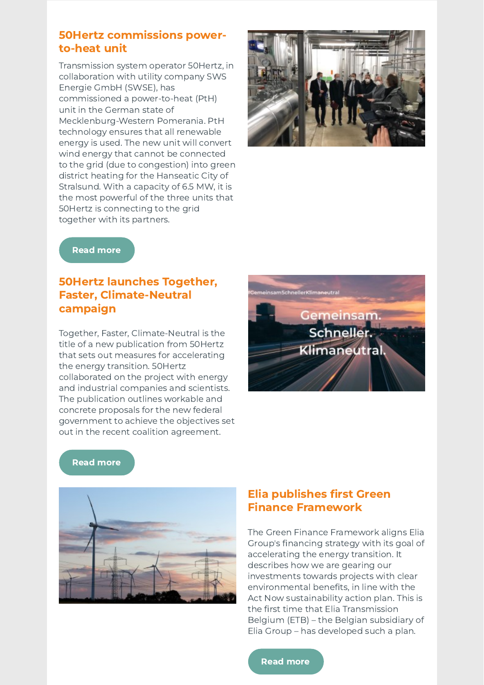# 50Hertz commissions powerto-heat unit

50Hertz is connecting to the grid together with its partners. Transmission system operator 50Hertz, in collaboration with utility company SWS Energie GmbH (SWSE), has commissioned a power-to-heat (PtH) unit in the German state of Mecklenburg-Western Pomerania. PtH technology ensures that all renewable energy is used. The new unit will convert wind energy that cannot be connected to the grid (due to congestion) into green district heating for the Hanseatic City of Stralsund. With a capacity of 6.5 MW, it is the most powerful of the three units that



#### Read [more](https://www.50hertz.com/en/News/FullarticleNewsof50Hertz/11606/another-building-block-for-more-climate-protection-50hertz-and-public-utility-company-stadtwerke-stralsund-sws-start-up-power-to-heat-unit)

# 50Hertz launches Together, Faster, Climate-Neutral campaign

Together, Faster, Climate-Neutral is the title of a new publication from 50Hertz that sets out measures for accelerating the energy transition. 50Hertz collaborated on the project with energy and industrial companies and scientists. The publication outlines workable and concrete proposals for the new federal government to achieve the objectives set out in the recent coalition agreement.



#### Read [more](https://www.50hertz.com/en/News/FullarticleNewsof50Hertz/11605/together-faster-climate-neutral-new-paper-outlines-proposed-measures-for-accelerating-the-energy-transition)



## Elia publishes first Green Finance Framework

The Green Finance Framework aligns Elia Group's financing strategy with its goal of accelerating the energy transition. It describes how we are gearing our investments towards projects with clear environmental benefits, in line with the Act Now sustainability action plan. This is the first time that Elia Transmission Belgium (ETB) – the Belgian subsidiary of Elia Group – has developed such a plan.

#### Read [more](https://www.elia.be/en/news/press-releases/2021/12/20211222_elia-transmission-belgium-publishes-its-first-green-finance-framework)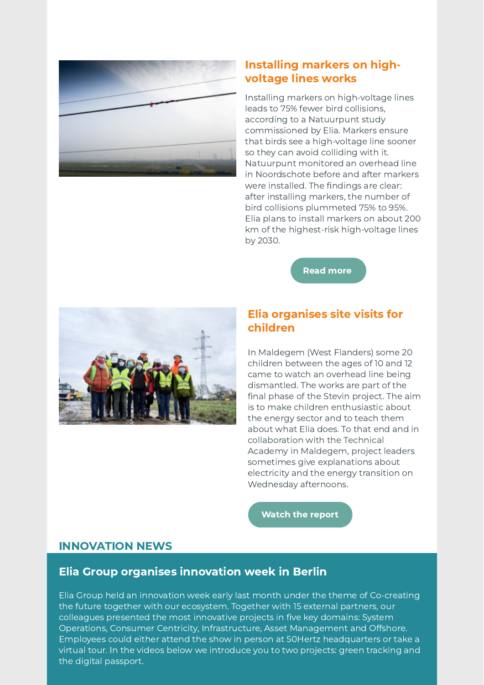

# Installing markers on highvoltage lines works

Installing markers on high-voltage lines leads to 75% fewer bird collisions, according to a Natuurpunt study commissioned by Elia. Markers ensure that birds see a high-voltage line sooner so they can avoid colliding with it. Natuurpunt monitored an overhead line in Noordschote before and after markers were installed. The findings are clear: after installing markers, the number of bird collisions plummeted 75% to 95%. Elia plans to install markers on about 200 km of the highest-risk high-voltage lines by 2030.

Read [more](https://www.elia.be/en/news/press-releases/2021/12/20211217_installation-of-markers-on-high-voltage-lines-leads-to-75-fewer-bird-collisions)



## Elia organises site visits for children

In Maldegem (West Flanders) some 20 children between the ages of 10 and 12 came to watch an overhead line being dismantled. The works are part of the final phase of the Stevin project. The aim is to make children enthusiastic about the energy sector and to teach them about what Elia does. To that end and in collaboration with the Technical Academy in Maldegem, project leaders sometimes give explanations about electricity and the energy transition on Wednesday afternoons.

[Watch](https://www.focus-wtv.be/nieuws/op-stap-met-de-techniekacademie) the report

## INNOVATION NEWS

#### Elia Group organises innovation week in Berlin

Elia Group held an innovation week early last month under the theme of Co-creating the future together with our ecosystem. Together with 15 external partners, our colleagues presented the most innovative projects in five key domains: System Operations, Consumer Centricity, Infrastructure, Asset Management and Offshore. Employees could either attend the show in person at 50Hertz headquarters or take a virtual tour. In the videos below we introduce you to two projects: green tracking and the digital passport.